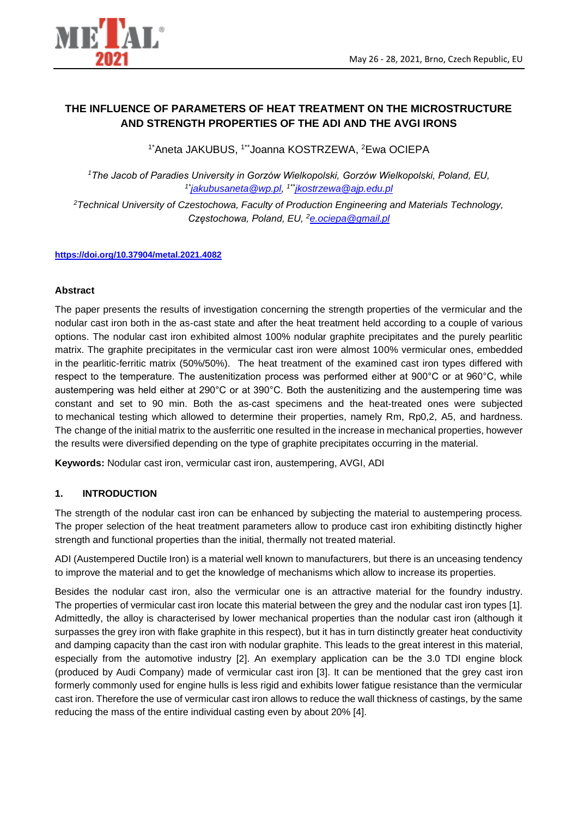

# **THE INFLUENCE OF PARAMETERS OF HEAT TREATMENT ON THE MICROSTRUCTURE AND STRENGTH PROPERTIES OF THE ADI AND THE AVGI IRONS**

<sup>1\*</sup>Aneta JAKUBUS, <sup>1\*\*</sup>Joanna KOSTRZEWA, <sup>2</sup>Ewa OCIEPA

*<sup>1</sup>The Jacob of Paradies University in Gorzów Wielkopolski, Gorzów Wielkopolski, Poland, EU, 1\*[jakubusaneta@wp.pl,](jakubusaneta@wp.pl) 1\*\*<jkostrzewa@ajp.edu.pl>*

*<sup>2</sup>Technical University of Czestochowa, Faculty of Production Engineering and Materials Technology, Częstochowa, Poland, EU, <sup>2</sup><e.ociepa@gmail.pl>*

#### **<https://doi.org/10.37904/metal.2021.4082>**

#### **Abstract**

The paper presents the results of investigation concerning the strength properties of the vermicular and the nodular cast iron both in the as-cast state and after the heat treatment held according to a couple of various options. The nodular cast iron exhibited almost 100% nodular graphite precipitates and the purely pearlitic matrix. The graphite precipitates in the vermicular cast iron were almost 100% vermicular ones, embedded in the pearlitic-ferritic matrix (50%/50%). The heat treatment of the examined cast iron types differed with respect to the temperature. The austenitization process was performed either at 900°C or at 960°C, while austempering was held either at 290°C or at 390°C. Both the austenitizing and the austempering time was constant and set to 90 min. Both the as-cast specimens and the heat-treated ones were subjected to mechanical testing which allowed to determine their properties, namely Rm, Rp0,2, A5, and hardness. The change of the initial matrix to the ausferritic one resulted in the increase in mechanical properties, however the results were diversified depending on the type of graphite precipitates occurring in the material.

**Keywords:** Nodular cast iron, vermicular cast iron, austempering, AVGI, ADI

## **1. INTRODUCTION**

The strength of the nodular cast iron can be enhanced by subjecting the material to austempering process. The proper selection of the heat treatment parameters allow to produce cast iron exhibiting distinctly higher strength and functional properties than the initial, thermally not treated material.

ADI (Austempered Ductile Iron) is a material well known to manufacturers, but there is an unceasing tendency to improve the material and to get the knowledge of mechanisms which allow to increase its properties.

Besides the nodular cast iron, also the vermicular one is an attractive material for the foundry industry. The properties of vermicular cast iron locate this material between the grey and the nodular cast iron types [1]. Admittedly, the alloy is characterised by lower mechanical properties than the nodular cast iron (although it surpasses the grey iron with flake graphite in this respect), but it has in turn distinctly greater heat conductivity and damping capacity than the cast iron with nodular graphite. This leads to the great interest in this material, especially from the automotive industry [2]. An exemplary application can be the 3.0 TDI engine block (produced by Audi Company) made of vermicular cast iron [3]. It can be mentioned that the grey cast iron formerly commonly used for engine hulls is less rigid and exhibits lower fatigue resistance than the vermicular cast iron. Therefore the use of vermicular cast iron allows to reduce the wall thickness of castings, by the same reducing the mass of the entire individual casting even by about 20% [4].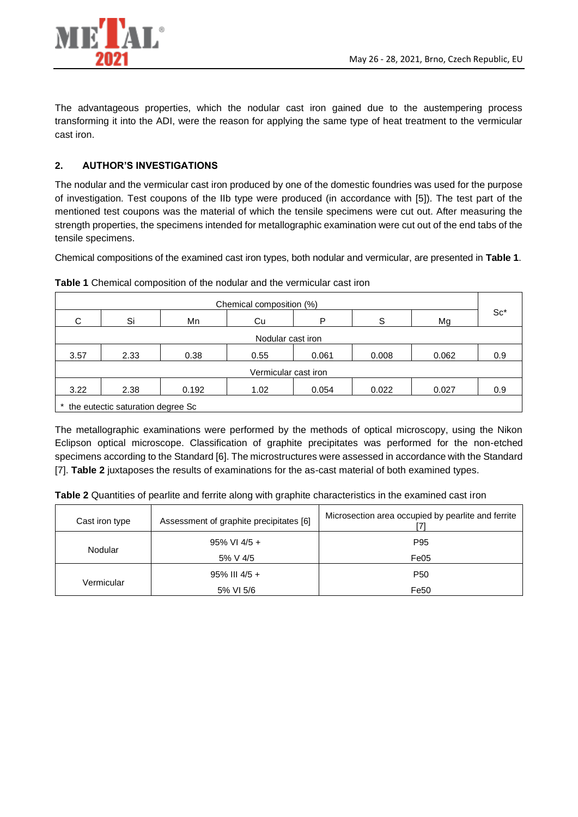

The advantageous properties, which the nodular cast iron gained due to the austempering process transforming it into the ADI, were the reason for applying the same type of heat treatment to the vermicular cast iron.

# **2. AUTHOR'S INVESTIGATIONS**

The nodular and the vermicular cast iron produced by one of the domestic foundries was used for the purpose of investigation. Test coupons of the IIb type were produced (in accordance with [5]). The test part of the mentioned test coupons was the material of which the tensile specimens were cut out. After measuring the strength properties, the specimens intended for metallographic examination were cut out of the end tabs of the tensile specimens.

Chemical compositions of the examined cast iron types, both nodular and vermicular, are presented in **Table 1**.

| Chemical composition (%) |                                   |       |      |       |       |       |        |
|--------------------------|-----------------------------------|-------|------|-------|-------|-------|--------|
| C                        | Si                                | Mn    | Cu   | P     | S     | Mg    | $Sc^*$ |
| Nodular cast iron        |                                   |       |      |       |       |       |        |
| 3.57                     | 2.33                              | 0.38  | 0.55 | 0.061 | 0.008 | 0.062 | 0.9    |
| Vermicular cast iron     |                                   |       |      |       |       |       |        |
| 3.22                     | 2.38                              | 0.192 | 1.02 | 0.054 | 0.022 | 0.027 | 0.9    |
|                          | the eutectic saturation degree Sc |       |      |       |       |       |        |

**Table 1** Chemical composition of the nodular and the vermicular cast iron

The metallographic examinations were performed by the methods of optical microscopy, using the Nikon Eclipson optical microscope. Classification of graphite precipitates was performed for the non-etched specimens according to the Standard [6]. The microstructures were assessed in accordance with the Standard [7]. **Table 2** juxtaposes the results of examinations for the as-cast material of both examined types.

**Table 2** Quantities of pearlite and ferrite along with graphite characteristics in the examined cast iron

| Cast iron type | Assessment of graphite precipitates [6] | Microsection area occupied by pearlite and ferrite |
|----------------|-----------------------------------------|----------------------------------------------------|
|                | $95\%$ VI 4/5 +                         | P <sub>95</sub>                                    |
| Nodular        | 5% V 4/5                                | Fe05                                               |
|                | $95\%$ III 4/5 +                        | P <sub>50</sub>                                    |
| Vermicular     | 5% VI 5/6                               | Fe50                                               |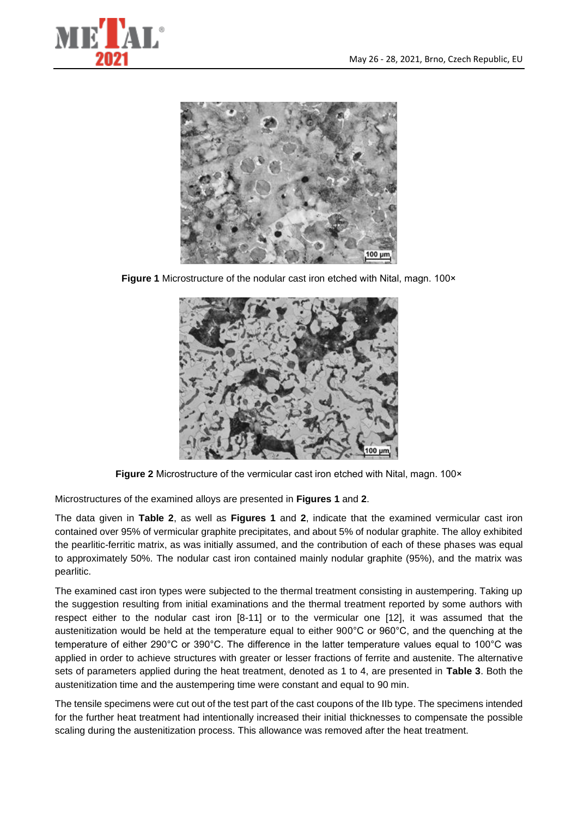



**Figure 1** Microstructure of the nodular cast iron etched with Nital, magn. 100×



**Figure 2** Microstructure of the vermicular cast iron etched with Nital, magn. 100×

Microstructures of the examined alloys are presented in **Figures 1** and **2**.

The data given in **Table 2**, as well as **Figures 1** and **2**, indicate that the examined vermicular cast iron contained over 95% of vermicular graphite precipitates, and about 5% of nodular graphite. The alloy exhibited the pearlitic-ferritic matrix, as was initially assumed, and the contribution of each of these phases was equal to approximately 50%. The nodular cast iron contained mainly nodular graphite (95%), and the matrix was pearlitic.

The examined cast iron types were subjected to the thermal treatment consisting in austempering. Taking up the suggestion resulting from initial examinations and the thermal treatment reported by some authors with respect either to the nodular cast iron [8-11] or to the vermicular one [12], it was assumed that the austenitization would be held at the temperature equal to either 900°C or 960°C, and the quenching at the temperature of either 290°C or 390°C. The difference in the latter temperature values equal to 100°C was applied in order to achieve structures with greater or lesser fractions of ferrite and austenite. The alternative sets of parameters applied during the heat treatment, denoted as 1 to 4, are presented in **Table 3**. Both the austenitization time and the austempering time were constant and equal to 90 min.

The tensile specimens were cut out of the test part of the cast coupons of the IIb type. The specimens intended for the further heat treatment had intentionally increased their initial thicknesses to compensate the possible scaling during the austenitization process. This allowance was removed after the heat treatment.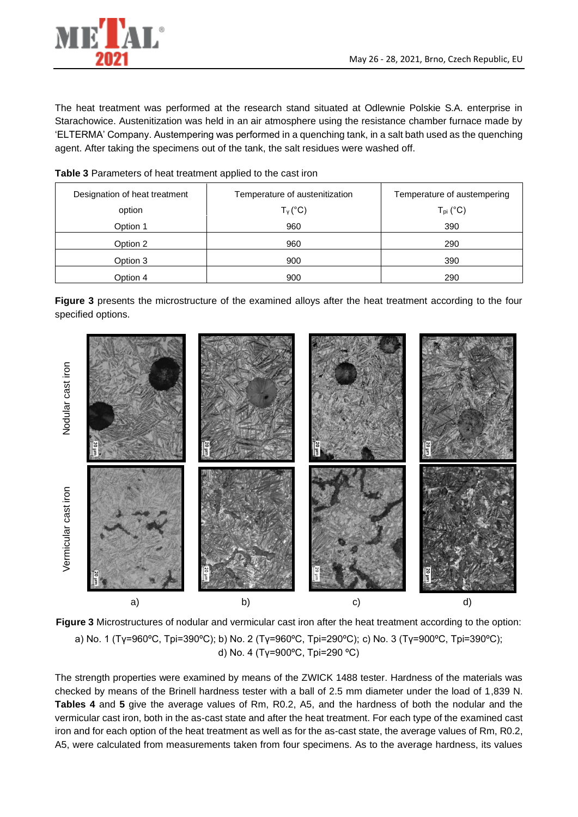

The heat treatment was performed at the research stand situated at Odlewnie Polskie S.A. enterprise in Starachowice. Austenitization was held in an air atmosphere using the resistance chamber furnace made by 'ELTERMA' Company. Austempering was performed in a quenching tank, in a salt bath used as the quenching agent. After taking the specimens out of the tank, the salt residues were washed off.

**Table 3** Parameters of heat treatment applied to the cast iron

| Designation of heat treatment |          | Temperature of austenitization | Temperature of austempering |  |  |
|-------------------------------|----------|--------------------------------|-----------------------------|--|--|
|                               | option   | ${\mathsf T}_{\mathsf v}$ (°C) | $T_{\text{pi}}$ (°C)        |  |  |
|                               | Option 1 | 960                            | 390                         |  |  |
|                               | Option 2 | 960                            | 290                         |  |  |
|                               | Option 3 | 900                            | 390                         |  |  |
|                               | Option 4 | 900                            | 290                         |  |  |

**Figure 3** presents the microstructure of the examined alloys after the heat treatment according to the four specified options.





The strength properties were examined by means of the ZWICK 1488 tester. Hardness of the materials was checked by means of the Brinell hardness tester with a ball of 2.5 mm diameter under the load of 1,839 N. **Tables 4** and **5** give the average values of Rm, R0.2, A5, and the hardness of both the nodular and the vermicular cast iron, both in the as-cast state and after the heat treatment. For each type of the examined cast iron and for each option of the heat treatment as well as for the as-cast state, the average values of Rm, R0.2, A5, were calculated from measurements taken from four specimens. As to the average hardness, its values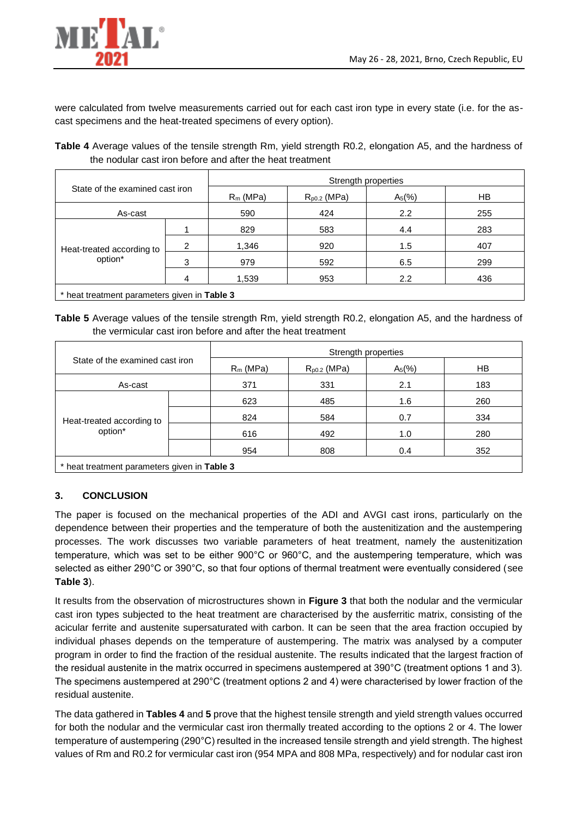

were calculated from twelve measurements carried out for each cast iron type in every state (i.e. for the ascast specimens and the heat-treated specimens of every option).

**Table 4** Average values of the tensile strength Rm, yield strength R0.2, elongation A5, and the hardness of the nodular cast iron before and after the heat treatment

| State of the examined cast iron              |   | Strength properties |                  |          |     |  |
|----------------------------------------------|---|---------------------|------------------|----------|-----|--|
|                                              |   | $R_m$ (MPa)         | $R_{p0.2}$ (MPa) | $A_5(%)$ | HB. |  |
| As-cast                                      |   | 590                 | 424              | 2.2      | 255 |  |
|                                              |   | 829                 | 583              | 4.4      | 283 |  |
| Heat-treated according to                    | 2 | 1,346               | 920              | 1.5      | 407 |  |
| option*                                      | 3 | 979                 | 592              | 6.5      | 299 |  |
|                                              |   | 1,539               | 953              | 2.2      | 436 |  |
| * hoot traatmont parameters given in Table 3 |   |                     |                  |          |     |  |

\* heat treatment parameters given in **Table 3**

**Table 5** Average values of the tensile strength Rm, yield strength R0.2, elongation A5, and the hardness of the vermicular cast iron before and after the heat treatment

| Strength properties |                  |          |     |  |
|---------------------|------------------|----------|-----|--|
| $R_m$ (MPa)         | $R_{p0.2}$ (MPa) | $A_5(%)$ | HB  |  |
| 371                 | 331              | 2.1      | 183 |  |
| 623                 | 485              | 1.6      | 260 |  |
| 824                 | 584              | 0.7      | 334 |  |
| 616                 | 492              | 1.0      | 280 |  |
| 954                 | 808              | 0.4      | 352 |  |
|                     |                  |          |     |  |

\* heat treatment parameters given in **Table 3**

## **3. CONCLUSION**

The paper is focused on the mechanical properties of the ADI and AVGI cast irons, particularly on the dependence between their properties and the temperature of both the austenitization and the austempering processes. The work discusses two variable parameters of heat treatment, namely the austenitization temperature, which was set to be either 900°C or 960°C, and the austempering temperature, which was selected as either 290°C or 390°C, so that four options of thermal treatment were eventually considered (see **Table 3**).

It results from the observation of microstructures shown in **Figure 3** that both the nodular and the vermicular cast iron types subjected to the heat treatment are characterised by the ausferritic matrix, consisting of the acicular ferrite and austenite supersaturated with carbon. It can be seen that the area fraction occupied by individual phases depends on the temperature of austempering. The matrix was analysed by a computer program in order to find the fraction of the residual austenite. The results indicated that the largest fraction of the residual austenite in the matrix occurred in specimens austempered at 390°C (treatment options 1 and 3). The specimens austempered at 290°C (treatment options 2 and 4) were characterised by lower fraction of the residual austenite.

The data gathered in **Tables 4** and **5** prove that the highest tensile strength and yield strength values occurred for both the nodular and the vermicular cast iron thermally treated according to the options 2 or 4. The lower temperature of austempering (290°C) resulted in the increased tensile strength and yield strength. The highest values of Rm and R0.2 for vermicular cast iron (954 MPA and 808 MPa, respectively) and for nodular cast iron